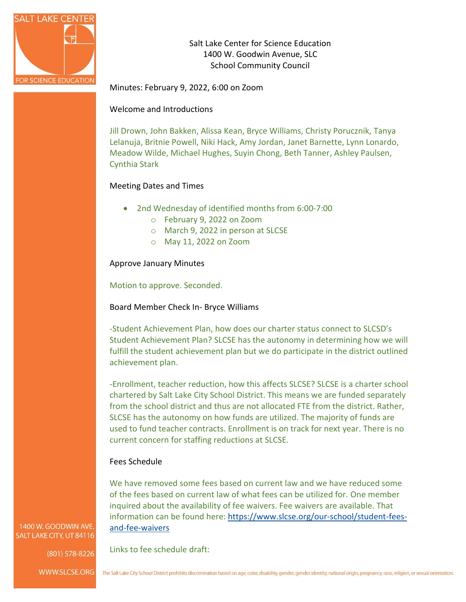

Salt Lake Center for Science Education 1400 W. Goodwin Avenue, SLC School Community Council

Minutes: February 9, 2022, 6:00 on Zoom

Welcome and Introductions

Jill Drown, John Bakken, Alissa Kean, Bryce Williams, Christy Porucznik, Tanya Lelanuja, Britnie Powell, Niki Hack, Amy Jordan, Janet Barnette, Lynn Lonardo, Meadow Wilde, Michael Hughes, Suyin Chong, Beth Tanner, Ashley Paulsen, Cynthia Stark

# Meeting Dates and Times

- 2nd Wednesday of identified months from 6:00-7:00
	- o February 9, 2022 on Zoom
	- o March 9, 2022 in person at SLCSE
	- o May 11, 2022 on Zoom

Approve January Minutes

Motion to approve. Seconded.

Board Member Check In- Bryce Williams

-Student Achievement Plan, how does our charter status connect to SLCSD's Student Achievement Plan? SLCSE has the autonomy in determining how we will fulfill the student achievement plan but we do participate in the district outlined achievement plan.

-Enrollment, teacher reduction, how this affects SLCSE? SLCSE is a charter school chartered by Salt Lake City School District. This means we are funded separately from the school district and thus are not allocated FTE from the district. Rather, SLCSE has the autonomy on how funds are utilized. The majority of funds are used to fund teacher contracts. Enrollment is on track for next year. There is no current concern for staffing reductions at SLCSE.

## Fees Schedule

Links to fee schedule draft:

We have removed some fees based on current law and we have reduced some of the fees based on current law of what fees can be utilized for. One member inquired about the availability of fee waivers. Fee waivers are available. That information can be found here: [https://www.slcse.org/our-school/student-fees](https://www.slcse.org/our-school/student-fees-and-fee-waivers)[and-fee-waivers](https://www.slcse.org/our-school/student-fees-and-fee-waivers)

1400 W. GOODWIN AVE SALT LAKE CITY, UT 84116

(801) 578-8226

WWW.SLCSE.ORG The Salt Lake City School District prohibits discrimination based on age, color, disability, gender, gender identity, national origin, pregnancy, race, religion, or sexual orientation.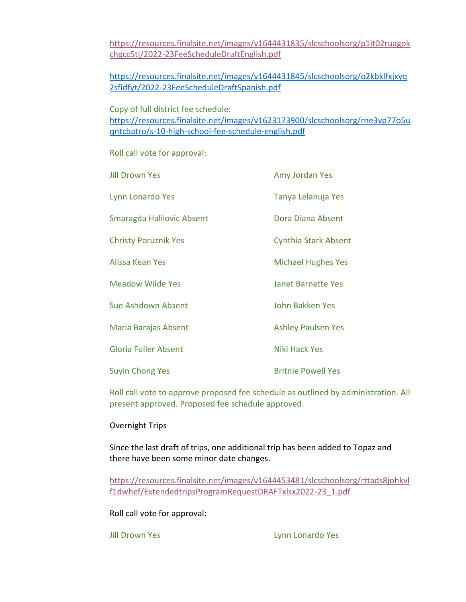[https://resources.finalsite.net/images/v1644431835/slcschoolsorg/p1it02ruagok](https://resources.finalsite.net/images/v1644431835/slcschoolsorg/p1it02ruagokchgcc5tj/2022-23FeeScheduleDraftEnglish.pdf) [chgcc5tj/2022-23FeeScheduleDraftEnglish.pdf](https://resources.finalsite.net/images/v1644431835/slcschoolsorg/p1it02ruagokchgcc5tj/2022-23FeeScheduleDraftEnglish.pdf)

[https://resources.finalsite.net/images/v1644431845/slcschoolsorg/o2kbklfxjxyq](https://resources.finalsite.net/images/v1644431845/slcschoolsorg/o2kbklfxjxyq2sfidfyt/2022-23FeeScheduleDraftSpanish.pdf) [2sfidfyt/2022-23FeeScheduleDraftSpanish.pdf](https://resources.finalsite.net/images/v1644431845/slcschoolsorg/o2kbklfxjxyq2sfidfyt/2022-23FeeScheduleDraftSpanish.pdf)

Copy of full district fee schedule:

[https://resources.finalsite.net/images/v1623173900/slcschoolsorg/rne3vp77o5u](https://resources.finalsite.net/images/v1623173900/slcschoolsorg/rne3vp77o5uqntcbatro/s-10-high-school-fee-schedule-english.pdf) [qntcbatro/s-10-high-school-fee-schedule-english.pdf](https://resources.finalsite.net/images/v1623173900/slcschoolsorg/rne3vp77o5uqntcbatro/s-10-high-school-fee-schedule-english.pdf)

Roll call vote for approval:

| <b>Jill Drown Yes</b>       | Amy Jordan Yes              |
|-----------------------------|-----------------------------|
| Lynn Lonardo Yes            | Tanya Lelanuja Yes          |
| Smaragda Halilovic Absent   | Dora Diana Absent           |
| <b>Christy Poruznik Yes</b> | <b>Cynthia Stark Absent</b> |
| Alissa Kean Yes             | <b>Michael Hughes Yes</b>   |
| <b>Meadow Wilde Yes</b>     | <b>Janet Barnette Yes</b>   |
| Sue Ashdown Absent          | <b>John Bakken Yes</b>      |
| Maria Barajas Absent        | <b>Ashley Paulsen Yes</b>   |
| <b>Gloria Fuller Absent</b> | Niki Hack Yes               |
| <b>Suyin Chong Yes</b>      | <b>Britnie Powell Yes</b>   |

Roll call vote to approve proposed fee schedule as outlined by administration. All present approved. Proposed fee schedule approved.

## Overnight Trips

Since the last draft of trips, one additional trip has been added to Topaz and there have been some minor date changes.

[https://resources.finalsite.net/images/v1644453481/slcschoolsorg/rttads8johkvl](https://resources.finalsite.net/images/v1644453481/slcschoolsorg/rttads8johkvlf1dwhef/ExtendedtripsProgramRequestDRAFTxlsx2022-23_1.pdf) [f1dwhef/ExtendedtripsProgramRequestDRAFTxlsx2022-23\\_1.pdf](https://resources.finalsite.net/images/v1644453481/slcschoolsorg/rttads8johkvlf1dwhef/ExtendedtripsProgramRequestDRAFTxlsx2022-23_1.pdf)

Roll call vote for approval:

Jill Drown Yes **Lynn** Lonardo Yes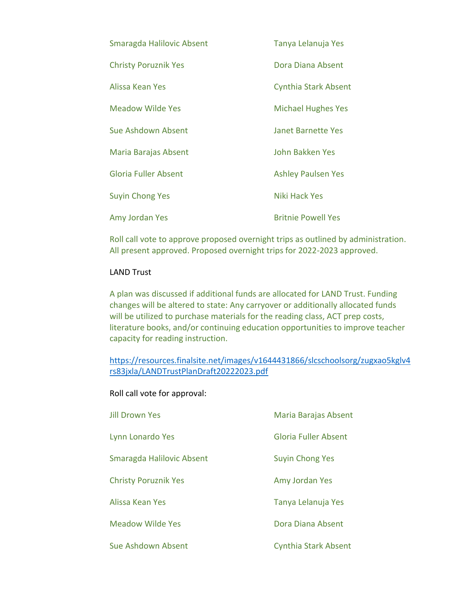| Smaragda Halilovic Absent   | Tanya Lelanuja Yes          |
|-----------------------------|-----------------------------|
| <b>Christy Poruznik Yes</b> | Dora Diana Absent           |
| Alissa Kean Yes             | <b>Cynthia Stark Absent</b> |
| <b>Meadow Wilde Yes</b>     | <b>Michael Hughes Yes</b>   |
| Sue Ashdown Absent          | <b>Janet Barnette Yes</b>   |
| Maria Barajas Absent        | John Bakken Yes             |
| <b>Gloria Fuller Absent</b> | <b>Ashley Paulsen Yes</b>   |
| <b>Suyin Chong Yes</b>      | Niki Hack Yes               |
| Amy Jordan Yes              | <b>Britnie Powell Yes</b>   |

Roll call vote to approve proposed overnight trips as outlined by administration. All present approved. Proposed overnight trips for 2022-2023 approved.

## LAND Trust

A plan was discussed if additional funds are allocated for LAND Trust. Funding changes will be altered to state: Any carryover or additionally allocated funds will be utilized to purchase materials for the reading class, ACT prep costs, literature books, and/or continuing education opportunities to improve teacher capacity for reading instruction.

[https://resources.finalsite.net/images/v1644431866/slcschoolsorg/zugxao5kglv4](https://resources.finalsite.net/images/v1644431866/slcschoolsorg/zugxao5kglv4rs83jxla/LANDTrustPlanDraft20222023.pdf) [rs83jxla/LANDTrustPlanDraft20222023.pdf](https://resources.finalsite.net/images/v1644431866/slcschoolsorg/zugxao5kglv4rs83jxla/LANDTrustPlanDraft20222023.pdf)

Roll call vote for approval:

| <b>Jill Drown Yes</b>       | Maria Barajas Absent        |
|-----------------------------|-----------------------------|
| Lynn Lonardo Yes            | Gloria Fuller Absent        |
| Smaragda Halilovic Absent   | <b>Suyin Chong Yes</b>      |
| <b>Christy Poruznik Yes</b> | Amy Jordan Yes              |
| Alissa Kean Yes             | Tanya Lelanuja Yes          |
| <b>Meadow Wilde Yes</b>     | Dora Diana Absent           |
| Sue Ashdown Absent          | <b>Cynthia Stark Absent</b> |